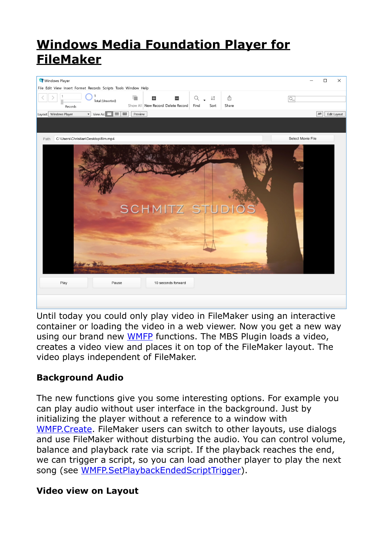# **[Windows Media Foundation Player for](https://www.mbs-plugins.com/archive/2019-12-26/Windows_Media_Foundation_Playe/monkeybreadsoftware_blog_filemaker)  [FileMaker](https://www.mbs-plugins.com/archive/2019-12-26/Windows_Media_Foundation_Playe/monkeybreadsoftware_blog_filemaker)**



Until today you could only play video in FileMaker using an interactive container or loading the video in a web viewer. Now you get a new way using our brand new [WMFP](https://www.mbsplugins.eu/component_WMFP.shtml) functions. The MBS Plugin loads a video, creates a video view and places it on top of the FileMaker layout. The video plays independent of FileMaker.

## **Background Audio**

The new functions give you some interesting options. For example you can play audio without user interface in the background. Just by initializing the player without a reference to a window with [WMFP.Create.](https://www.mbsplugins.eu/WMFPCreate.shtml) FileMaker users can switch to other layouts, use dialogs and use FileMaker without disturbing the audio. You can control volume, balance and playback rate via script. If the playback reaches the end, we can trigger a script, so you can load another player to play the next song (see [WMFP.SetPlaybackEndedScriptTrigger](https://www.mbsplugins.eu/WMFPSetPlaybackEndedScriptTrigger.shtml)).

### **Video view on Layout**